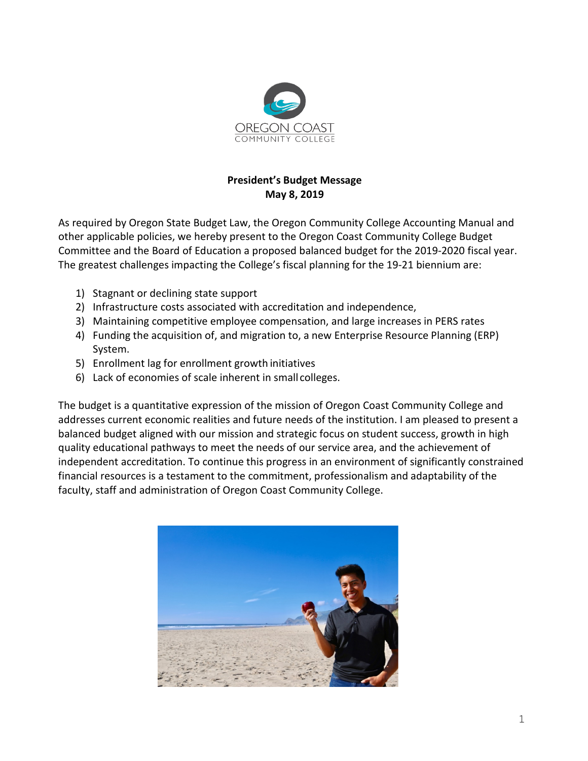

## **President's Budget Message May 8, 2019**

As required by Oregon State Budget Law, the Oregon Community College Accounting Manual and other applicable policies, we hereby present to the Oregon Coast Community College Budget Committee and the Board of Education a proposed balanced budget for the 2019-2020 fiscal year. The greatest challenges impacting the College's fiscal planning for the 19-21 biennium are:

- 1) Stagnant or declining state support
- 2) Infrastructure costs associated with accreditation and independence,
- 3) Maintaining competitive employee compensation, and large increases in PERS rates
- 4) Funding the acquisition of, and migration to, a new Enterprise Resource Planning (ERP) System.
- 5) Enrollment lag for enrollment growth initiatives
- 6) Lack of economies of scale inherent in small colleges.

The budget is a quantitative expression of the mission of Oregon Coast Community College and addresses current economic realities and future needs of the institution. I am pleased to present a balanced budget aligned with our mission and strategic focus on student success, growth in high quality educational pathways to meet the needs of our service area, and the achievement of independent accreditation. To continue this progress in an environment of significantly constrained financial resources is a testament to the commitment, professionalism and adaptability of the faculty, staff and administration of Oregon Coast Community College.

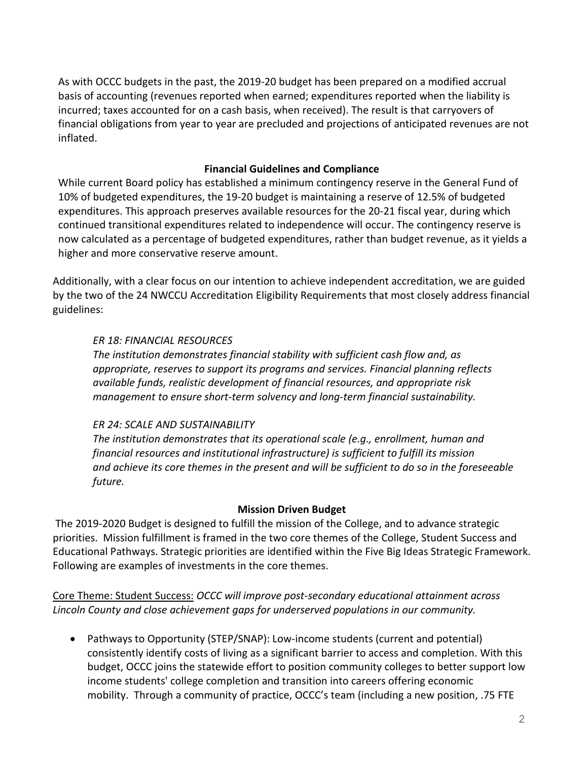As with OCCC budgets in the past, the 2019-20 budget has been prepared on a modified accrual basis of accounting (revenues reported when earned; expenditures reported when the liability is incurred; taxes accounted for on a cash basis, when received). The result is that carryovers of financial obligations from year to year are precluded and projections of anticipated revenues are not inflated.

## **Financial Guidelines and Compliance**

While current Board policy has established a minimum contingency reserve in the General Fund of 10% of budgeted expenditures, the 19-20 budget is maintaining a reserve of 12.5% of budgeted expenditures. This approach preserves available resources for the 20-21 fiscal year, during which continued transitional expenditures related to independence will occur. The contingency reserve is now calculated as a percentage of budgeted expenditures, rather than budget revenue, as it yields a higher and more conservative reserve amount.

Additionally, with a clear focus on our intention to achieve independent accreditation, we are guided by the two of the 24 NWCCU [Accreditation](http://www.nwccu.org/Standards%20and%20Policies/Eligibility%20Requirements/Eligibility%20Requirements.htm)) [Eligibility Requirements t](http://www.nwccu.org/Standards%20and%20Policies/Eligibility%20Requirements/Eligibility%20Requirements.htm))hat most closely address financial guidelines:

### *ER 18: FINANCIAL RESOURCES*

*The institution demonstrates financial stability with sufficient cash flow and, as appropriate, reserves to support its programs and services. Financial planning reflects available funds, realistic development of financial resources, and appropriate risk management to ensure short-term solvency and long-term financial sustainability.*

### *ER 24: SCALE AND SUSTAINABILITY*

*The institution demonstrates that its operational scale (e.g., enrollment, human and financial resources and institutional infrastructure) is sufficient to fulfill its mission and achieve its core themes in the present and will be sufficient to do so in the foreseeable future.*

### **Mission Driven Budget**

The 2019-2020 Budget is designed to fulfill the mission of the College, and to advance strategic priorities. Mission fulfillment is framed in the two core themes of the College, Student Success and Educational Pathways. Strategic priorities are identified within the Five Big Ideas Strategic Framework. Following are examples of investments in the core themes.

Core Theme: Student Success: *OCCC will improve post-secondary educational attainment across Lincoln County and close achievement gaps for underserved populations in our community.*

• Pathways to Opportunity (STEP/SNAP): Low-income students (current and potential) consistently identify costs of living as a significant barrier to access and completion. With this budget, OCCC joins the statewide effort to position community colleges to better support low income students' college completion and transition into careers offering economic mobility. Through a community of practice, OCCC's team (including a new position, .75 FTE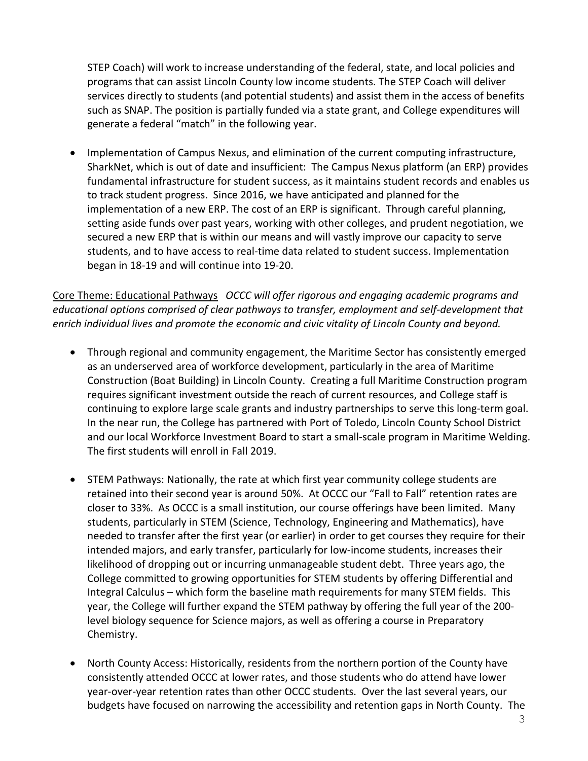STEP Coach) will work to increase understanding of the federal, state, and local policies and programs that can assist Lincoln County low income students. The STEP Coach will deliver services directly to students (and potential students) and assist them in the access of benefits such as SNAP. The position is partially funded via a state grant, and College expenditures will generate a federal "match" in the following year.

• Implementation of Campus Nexus, and elimination of the current computing infrastructure, SharkNet, which is out of date and insufficient: The Campus Nexus platform (an ERP) provides fundamental infrastructure for student success, as it maintains student records and enables us to track student progress. Since 2016, we have anticipated and planned for the implementation of a new ERP. The cost of an ERP is significant. Through careful planning, setting aside funds over past years, working with other colleges, and prudent negotiation, we secured a new ERP that is within our means and will vastly improve our capacity to serve students, and to have access to real-time data related to student success. Implementation began in 18-19 and will continue into 19-20.

Core Theme: Educational Pathways *OCCC will offer rigorous and engaging academic programs and educational options comprised of clear pathways to transfer, employment and self-development that enrich individual lives and promote the economic and civic vitality of Lincoln County and beyond.*

- Through regional and community engagement, the Maritime Sector has consistently emerged as an underserved area of workforce development, particularly in the area of Maritime Construction (Boat Building) in Lincoln County. Creating a full Maritime Construction program requires significant investment outside the reach of current resources, and College staff is continuing to explore large scale grants and industry partnerships to serve this long-term goal. In the near run, the College has partnered with Port of Toledo, Lincoln County School District and our local Workforce Investment Board to start a small-scale program in Maritime Welding. The first students will enroll in Fall 2019.
- STEM Pathways: Nationally, the rate at which first year community college students are retained into their second year is around 50%. At OCCC our "Fall to Fall" retention rates are closer to 33%. As OCCC is a small institution, our course offerings have been limited. Many students, particularly in STEM (Science, Technology, Engineering and Mathematics), have needed to transfer after the first year (or earlier) in order to get courses they require for their intended majors, and early transfer, particularly for low-income students, increases their likelihood of dropping out or incurring unmanageable student debt. Three years ago, the College committed to growing opportunities for STEM students by offering Differential and Integral Calculus – which form the baseline math requirements for many STEM fields. This year, the College will further expand the STEM pathway by offering the full year of the 200 level biology sequence for Science majors, as well as offering a course in Preparatory Chemistry.
- North County Access: Historically, residents from the northern portion of the County have consistently attended OCCC at lower rates, and those students who do attend have lower year-over-year retention rates than other OCCC students. Over the last several years, our budgets have focused on narrowing the accessibility and retention gaps in North County. The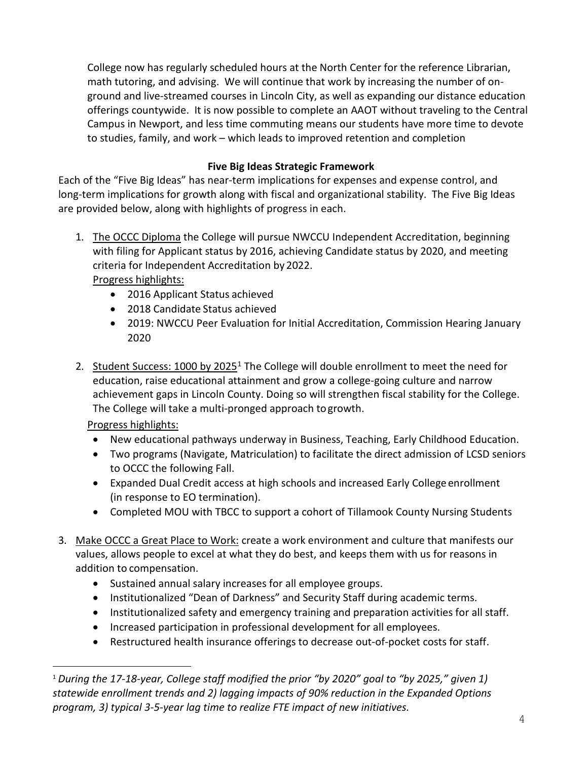College now has regularly scheduled hours at the North Center for the reference Librarian, math tutoring, and advising. We will continue that work by increasing the number of onground and live-streamed courses in Lincoln City, as well as expanding our distance education offerings countywide. It is now possible to complete an AAOT without traveling to the Central Campus in Newport, and less time commuting means our students have more time to devote to studies, family, and work – which leads to improved retention and completion

# **Five Big Ideas Strategic Framework**

Each of the "Five Big Ideas" has near-term implications for expenses and expense control, and long-term implications for growth along with fiscal and organizational stability. The Five Big Ideas are provided below, along with highlights of progress in each.

- 1. The OCCC Diploma the College will pursue NWCCU Independent Accreditation, beginning with filing for Applicant status by 2016, achieving Candidate status by 2020, and meeting criteria for Independent Accreditation by 2022. Progress highlights:
	- 2016 Applicant Status achieved
	- 2018 Candidate Status achieved
	- 2019: NWCCU Peer Evaluation for Initial Accreditation, Commission Hearing January 2020
- 2. Student Success: 1000 by 2025<sup>1</sup> The College will double enrollment to meet the need for education, raise educational attainment and grow a college-going culture and narrow achievement gaps in Lincoln County. Doing so will strengthen fiscal stability for the College. The College will take a multi-pronged approach togrowth.

Progress highlights:

- New educational pathways underway in Business, Teaching, Early Childhood Education.
- Two programs (Navigate, Matriculation) to facilitate the direct admission of LCSD seniors to OCCC the following Fall.
- Expanded Dual Credit access at high schools and increased Early College enrollment (in response to EO termination).
- Completed MOU with TBCC to support a cohort of Tillamook County Nursing Students
- 3. Make OCCC a Great Place to Work: create a work environment and culture that manifests our values, allows people to excel at what they do best, and keeps them with us for reasons in addition to compensation.
	- Sustained annual salary increases for all employee groups.
	- Institutionalized "Dean of Darkness" and Security Staff during academic terms.
	- Institutionalized safety and emergency training and preparation activities for all staff.
	- Increased participation in professional development for all employees.
	- Restructured health insurance offerings to decrease out-of-pocket costs for staff.

<span id="page-3-0"></span> <sup>1</sup> *During the 17-18-year, College staff modified the prior "by 2020" goal to "by 2025," given 1) statewide enrollment trends and 2) lagging impacts of 90% reduction in the Expanded Options program, 3) typical 3-5-year lag time to realize FTE impact of new initiatives.*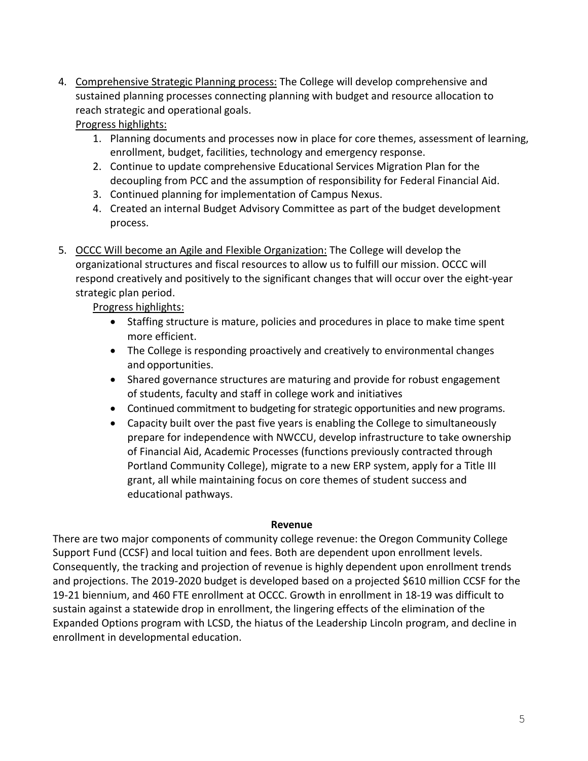4. Comprehensive Strategic Planning process: The College will develop comprehensive and sustained planning processes connecting planning with budget and resource allocation to reach strategic and operational goals.

Progress highlights:

- 1. Planning documents and processes now in place for core themes, assessment of learning, enrollment, budget, facilities, technology and emergency response.
- 2. Continue to update comprehensive Educational Services Migration Plan for the decoupling from PCC and the assumption of responsibility for Federal Financial Aid.
- 3. Continued planning for implementation of Campus Nexus.
- 4. Created an internal Budget Advisory Committee as part of the budget development process.
- 5. OCCC Will become an Agile and Flexible Organization: The College will develop the organizational structures and fiscal resources to allow us to fulfill our mission. OCCC will respond creatively and positively to the significant changes that will occur over the eight-year strategic plan period.

Progress highlights:

- Staffing structure is mature, policies and procedures in place to make time spent more efficient.
- The College is responding proactively and creatively to environmental changes and opportunities.
- Shared governance structures are maturing and provide for robust engagement of students, faculty and staff in college work and initiatives
- Continued commitment to budgeting for strategic opportunities and new programs.
- Capacity built over the past five years is enabling the College to simultaneously prepare for independence with NWCCU, develop infrastructure to take ownership of Financial Aid, Academic Processes (functions previously contracted through Portland Community College), migrate to a new ERP system, apply for a Title III grant, all while maintaining focus on core themes of student success and educational pathways.

### **Revenue**

There are two major components of community college revenue: the Oregon Community College Support Fund (CCSF) and local tuition and fees. Both are dependent upon enrollment levels. Consequently, the tracking and projection of revenue is highly dependent upon enrollment trends and projections. The 2019-2020 budget is developed based on a projected \$610 million CCSF for the 19-21 biennium, and 460 FTE enrollment at OCCC. Growth in enrollment in 18-19 was difficult to sustain against a statewide drop in enrollment, the lingering effects of the elimination of the Expanded Options program with LCSD, the hiatus of the Leadership Lincoln program, and decline in enrollment in developmental education.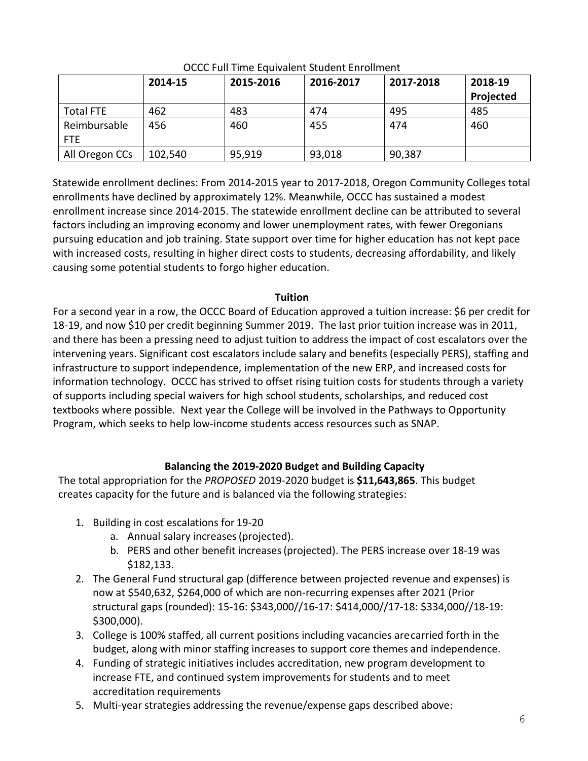|                  | 2014-15 | 2015-2016 | 2016-2017 | 2017-2018 | 2018-19   |
|------------------|---------|-----------|-----------|-----------|-----------|
|                  |         |           |           |           | Projected |
| <b>Total FTE</b> | 462     | 483       | 474       | 495       | 485       |
| Reimbursable     | 456     | 460       | 455       | 474       | 460       |
| <b>FTE</b>       |         |           |           |           |           |
| All Oregon CCs   | 102,540 | 95,919    | 93,018    | 90,387    |           |

OCCC Full Time Equivalent Student Enrollment

Statewide enrollment declines: From 2014-2015 year to 2017-2018, Oregon Community Colleges total enrollments have declined by approximately 12%. Meanwhile, OCCC has sustained a modest enrollment increase since 2014-2015. The statewide enrollment decline can be attributed to several factors including an improving economy and lower unemployment rates, with fewer Oregonians pursuing education and job training. State support over time for higher education has not kept pace with increased costs, resulting in higher direct costs to students, decreasing affordability, and likely causing some potential students to forgo higher education.

# **Tuition**

For a second year in a row, the OCCC Board of Education approved a tuition increase: \$6 per credit for 18-19, and now \$10 per credit beginning Summer 2019. The last prior tuition increase was in 2011, and there has been a pressing need to adjust tuition to address the impact of cost escalators over the intervening years. Significant cost escalators include salary and benefits (especially PERS), staffing and infrastructure to support independence, implementation of the new ERP, and increased costs for information technology. OCCC has strived to offset rising tuition costs for students through a variety of supports including special waivers for high school students, scholarships, and reduced cost textbooks where possible. Next year the College will be involved in the Pathways to Opportunity Program, which seeks to help low-income students access resources such as SNAP.

# **Balancing the 2019-2020 Budget and Building Capacity**

The total appropriation for the *PROPOSED* 2019-2020 budget is **\$11,643,865**. This budget creates capacity for the future and is balanced via the following strategies:

- 1. Building in cost escalations for 19-20
	- a. Annual salary increases(projected).
	- b. PERS and other benefit increases(projected). The PERS increase over 18-19 was \$182,133.
- 2. The General Fund structural gap (difference between projected revenue and expenses) is now at \$540,632, \$264,000 of which are non-recurring expenses after 2021 (Prior structural gaps (rounded): 15-16: \$343,000//16-17: \$414,000//17-18: \$334,000//18-19: \$300,000).
- 3. College is 100% staffed, all current positions including vacancies arecarried forth in the budget, along with minor staffing increases to support core themes and independence.
- 4. Funding of strategic initiatives includes accreditation, new program development to increase FTE, and continued system improvements for students and to meet accreditation requirements
- 5. Multi-year strategies addressing the revenue/expense gaps described above: